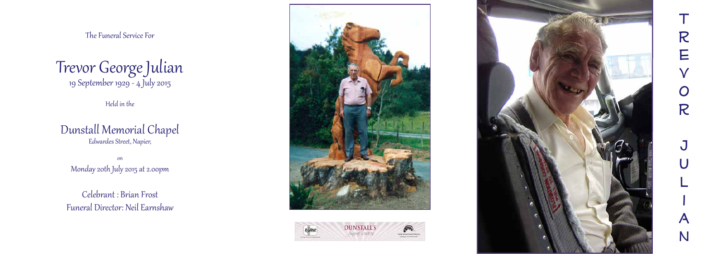The Funeral Service For

## Trevor George Julian 19 September 1929 - 4 July 2015

Held in the

Dunstall Memorial Chapel Edwardes Street, Napier,

on Monday 20th July 2015 at 2.00pm

Celebrant : Brian Frost Funeral Director: Neil Earnshaw







# TREVOR JULIAN R Ε  $\bigcirc$ R  $\mathcal{F}$ N